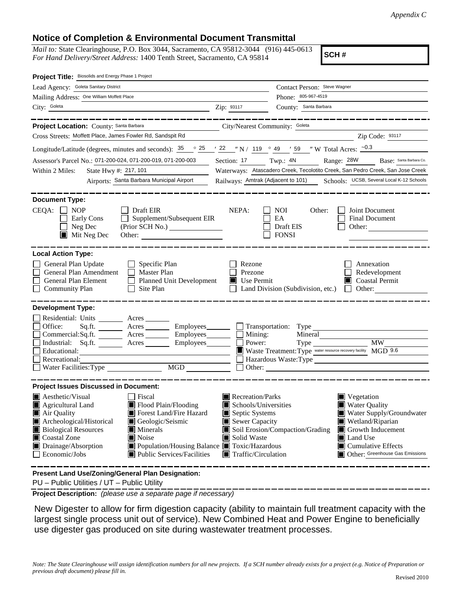## **Notice of Completion & Environmental Document Transmittal**

*Mail to:* State Clearinghouse, P.O. Box 3044, Sacramento, CA 95812-3044 (916) 445-0613 *For Hand Delivery/Street Address:* 1400 Tenth Street, Sacramento, CA 95814

**SCH #**

| Project Title: Biosolids and Energy Phase 1 Project                                                                                                                             |                                          |                                                                                                                                                                                                                                                                                               |                                                                                                                                                                 |                                                                                                                        |                                                                                                                                |                                                             |  |  |  |
|---------------------------------------------------------------------------------------------------------------------------------------------------------------------------------|------------------------------------------|-----------------------------------------------------------------------------------------------------------------------------------------------------------------------------------------------------------------------------------------------------------------------------------------------|-----------------------------------------------------------------------------------------------------------------------------------------------------------------|------------------------------------------------------------------------------------------------------------------------|--------------------------------------------------------------------------------------------------------------------------------|-------------------------------------------------------------|--|--|--|
| Lead Agency: Goleta Sanitary District                                                                                                                                           |                                          |                                                                                                                                                                                                                                                                                               | Contact Person: Steve Wagner                                                                                                                                    |                                                                                                                        |                                                                                                                                |                                                             |  |  |  |
| Mailing Address: One William Moffett Place                                                                                                                                      |                                          |                                                                                                                                                                                                                                                                                               | Phone: 805-967-4519                                                                                                                                             |                                                                                                                        |                                                                                                                                |                                                             |  |  |  |
| City: Goleta                                                                                                                                                                    |                                          |                                                                                                                                                                                                                                                                                               | Zip: 93117                                                                                                                                                      | County: Santa Barbara                                                                                                  |                                                                                                                                |                                                             |  |  |  |
|                                                                                                                                                                                 |                                          |                                                                                                                                                                                                                                                                                               |                                                                                                                                                                 |                                                                                                                        |                                                                                                                                |                                                             |  |  |  |
| Project Location: County: Santa Barbara                                                                                                                                         |                                          | City/Nearest Community: Goleta                                                                                                                                                                                                                                                                |                                                                                                                                                                 |                                                                                                                        |                                                                                                                                |                                                             |  |  |  |
|                                                                                                                                                                                 |                                          | Cross Streets: Moffett Place, James Fowler Rd, Sandspit Rd                                                                                                                                                                                                                                    |                                                                                                                                                                 |                                                                                                                        |                                                                                                                                | Zip Code: 93117                                             |  |  |  |
|                                                                                                                                                                                 |                                          | Longitude/Latitude (degrees, minutes and seconds): $\frac{35}{25}$ $\frac{25}{25}$ $\frac{22}{25}$ $\frac{1}{2}$ $\frac{22}{25}$ $\frac{1}{2}$ $\frac{1}{2}$ $\frac{1}{2}$ $\frac{9}{25}$ $\frac{49}{25}$ $\frac{1}{2}$ $\frac{1}{2}$ $\frac{1}{2}$ $\frac{1}{2}$ $\frac{1}{2}$ $\frac{1}{2}$ |                                                                                                                                                                 |                                                                                                                        |                                                                                                                                |                                                             |  |  |  |
| Assessor's Parcel No.: 071-200-024, 071-200-019, 071-200-003                                                                                                                    |                                          |                                                                                                                                                                                                                                                                                               | Twp.: $4N$<br>Range: 28W Base: Santa Barbara Co.<br>Section: 17                                                                                                 |                                                                                                                        |                                                                                                                                |                                                             |  |  |  |
| Within 2 Miles:<br>State Hwy #: 217, 101                                                                                                                                        |                                          | Waterways: Atascadero Creek, Tecolotito Creek, San Pedro Creek, San Jose Creek                                                                                                                                                                                                                |                                                                                                                                                                 |                                                                                                                        |                                                                                                                                |                                                             |  |  |  |
|                                                                                                                                                                                 |                                          | Airports: Santa Barbara Municipal Airport                                                                                                                                                                                                                                                     |                                                                                                                                                                 | Railways: Amtrak (Adjacent to 101) Schools: UCSB, Several Local K-12 Schools                                           |                                                                                                                                |                                                             |  |  |  |
|                                                                                                                                                                                 |                                          |                                                                                                                                                                                                                                                                                               |                                                                                                                                                                 |                                                                                                                        |                                                                                                                                |                                                             |  |  |  |
| <b>Document Type:</b><br>CEQA:<br><b>NOP</b><br>Neg Dec                                                                                                                         | Early Cons<br>$\blacksquare$ Mit Neg Dec | Draft EIR<br>Supplement/Subsequent EIR<br>(Prior SCH No.)                                                                                                                                                                                                                                     | NEPA:                                                                                                                                                           | <b>NOI</b><br>Other:<br>EA<br>Draft EIS<br><b>FONSI</b>                                                                | Joint Document<br><b>Final Document</b><br>Other:                                                                              |                                                             |  |  |  |
| <b>Local Action Type:</b><br>General Plan Update<br>General Plan Amendment<br><b>General Plan Element</b><br>Community Plan                                                     |                                          | $\Box$ Specific Plan<br>П<br>Master Plan<br>Planned Unit Development<br>Site Plan<br>$\mathbf{I}$                                                                                                                                                                                             | Rezone<br>Prezone<br>$\blacksquare$ Use Permit                                                                                                                  | Land Division (Subdivision, etc.)                                                                                      | Annexation<br>Coastal Permit<br>$\perp$                                                                                        | Redevelopment<br>Other:                                     |  |  |  |
| <b>Development Type:</b>                                                                                                                                                        |                                          |                                                                                                                                                                                                                                                                                               |                                                                                                                                                                 |                                                                                                                        |                                                                                                                                |                                                             |  |  |  |
| Residential: Units ________ Acres _____<br>Office:<br>Educational:<br>Recreational:<br>Water Facilities: Type                                                                   |                                          | Sq.ft. ________ Acres __________ Employees ________ __ Transportation: Type ___________<br>Commercial:Sq.ft. _______ Acres _______ Employees ______ $\Box$<br>Industrial: Sq.ft. _______ Acres _______ Employees ______ $\Box$<br>MGD                                                         |                                                                                                                                                                 | Mining:<br>Power:<br>Waste Treatment: Type water resource recovery facility MGD 9.6<br>Hazardous Waste: Type<br>Other: | Mineral                                                                                                                        | <b>MW</b>                                                   |  |  |  |
| <b>Project Issues Discussed in Document:</b>                                                                                                                                    |                                          |                                                                                                                                                                                                                                                                                               |                                                                                                                                                                 |                                                                                                                        |                                                                                                                                |                                                             |  |  |  |
| <b>A</b> esthetic/Visual<br>Agricultural Land<br>Air Quality<br>Archeological/Historical<br><b>Biological Resources</b><br>Coastal Zone<br>Drainage/Absorption<br>Economic/Jobs |                                          | Fiscal<br>Flood Plain/Flooding<br>Forest Land/Fire Hazard<br>Geologic/Seismic<br>$\blacksquare$ Minerals<br>Noise<br>Population/Housing Balance Toxic/Hazardous<br>Public Services/Facilities                                                                                                 | $\blacksquare$ Recreation/Parks<br>$\blacksquare$ Schools/Universities<br>Septic Systems<br>Sewer Capacity<br>Solid Waste<br>$\blacksquare$ Traffic/Circulation | Soil Erosion/Compaction/Grading                                                                                        | Vegetation<br>■ Water Quality<br>Wetland/Riparian<br>$\Box$ Growth Inducement<br>Land Use<br>$\blacksquare$ Cumulative Effects | Water Supply/Groundwater<br>Other: Greenhouse Gas Emissions |  |  |  |
| Present Land Use/Zoning/General Plan Designation:                                                                                                                               |                                          |                                                                                                                                                                                                                                                                                               |                                                                                                                                                                 |                                                                                                                        |                                                                                                                                |                                                             |  |  |  |

PU – Public Utilities / UT – Public Utility

**Project Description:** *(please use a separate page if necessary)*

 New Digester to allow for firm digestion capacity (ability to maintain full treatment capacity with the largest single process unit out of service). New Combined Heat and Power Engine to beneficially use digester gas produced on site during wastewater treatment processes.